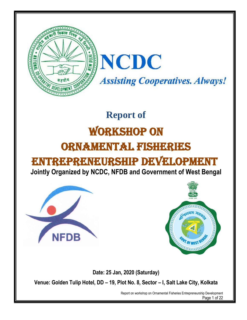

# **Report of** Workshop On ORNAMENTAL FISHERIES ENTREPRENEURSHIP DEVELOPMENT

# **Jointly Organized by NCDC, NFDB and Government of West Bengal**





**Date: 25 Jan, 2020 (Saturday)**

**Venue: Golden Tulip Hotel, DD – 19, Plot No. 8, Sector – I, Salt Lake City, Kolkata**

Report on workshop on Ornamental Fisheries Entrepreneurship Development Page 1 of 22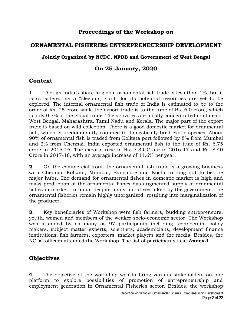# **Proceedings of the Workshop on**

### **ORNAMENTAL FISHERIES ENTREPRENEURSHIP DEVELOPMENT**

#### **Jointly Organized by NCDC, NFDB and Government of West Bengal**

# **On 25 January, 2020**

# **Context**

**1.** Though India's share in global ornamental fish trade is less than 1%, but it is considered as a "sleeping giant" for its potential resources are yet to be explored. The internal ornamental fish trade of India is estimated to be to the order of Rs. 25 crore while the export trade is to the tune of Rs. 6.0 crore, which is only 0.3% of the global trade. The activities are mostly concentrated in states of West Bengal, Maharashtra, Tamil Nadu and Kerala. The major part of the export trade is based on wild collection. There is a good domestic market for ornamental fish, which is predominantly confined to domestically bred exotic species. About 90% of ornamental fish is traded from Kolkata port followed by 8% from Mumbai and 2% from Chennai. India exported ornamental fish to the tune of Rs. 6.75 crore in 2015-16. The exports rose to Rs. 7.39 Crore in 2016-17 and Rs. 8.40 Crore in 2017-18, with an average increase of 11.6% per year.

**2.** On the commercial front, the ornamental fish trade is a growing business with Chennai, Kolkata, Mumbai, Bangalore and Kochi turning out to be the major hubs. The demand for ornamental fishes in domestic market is high and mass production of the ornamental fishes has augmented supply of ornamental fishes in market. In India, despite many initiatives taken by the government, the ornamental fisheries remain highly unorganized, resulting into marginalization of the producer.

**3.** Key beneficiaries of Workshop were fish farmers, budding entrepreneurs, youth, women and members of the weaker socio-economic sector. The Workshop was attended by as many as 97 participants including technocrats, policy makers, subject matter experts, scientists, academicians, development finance institutions, fish farmers, exporters, market players and the media. Besides, the NCDC officers attended the Workshop. The list of participants is at **Annex-I**.

# **Objectives**

**4.** The objective of the workshop was to bring various stakeholders on one platform to explore possibilities of promotion of entrepreneurship and employment generation in Ornamental Fisheries sector. Besides, the workshop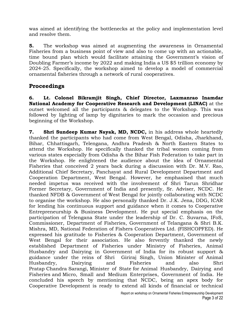was aimed at identifying the bottlenecks at the policy and implementation level and resolve them.

**5.** The workshop was aimed at augmenting the awareness in Ornamental Fisheries from a business point of view and also to come up with an actionable, time bound plan which would facilitate attaining the Government's vision of Doubling Farmer's income by 2022 and making India a US \$5 trillion economy by 2024-25. Specifically, the workshop aimed to develop a model of commercial ornamental fisheries through a network of rural cooperatives.

# **Proceedings**

**6. Lt. Colonel Bikramjit Singh, Chief Director, Laxmanrao Inamdar National Academy for Cooperative Research and Development (LINAC)** at the outset welcomed all the participants & delegates to the Workshop. This was followed by lighting of lamp by dignitaries to mark the occasion and precious beginning of the Workshop.

**7. Shri Sundeep Kumar Nayak, MD, NCDC,** in his address whole heartedly thanked the participants who had come from West Bengal, Odisha, Jharkhand, Bihar, Chhattisgarh, Telengana, Andhra Pradesh & North Eastern States to attend the Workshop. He specifically thanked the tribal women coming from various states especially from Odisha & the Bihar Fish Federation to take part in the Workshop. He enlightened the audience about the idea of Ornamental Fisheries that conceived 2 years back during a discussion with Dr. M.V. Rao, Additional Chief Secretary, Panchayat and Rural Development Department and Cooperation Department, West Bengal. However, he emphasised that much needed impetus was received with the involvement of Shri Tarun Shridhar Former Secretary, Government of India and presently, Sr. Adviser, NCDC. He thanked NFDB & Government of West Bengal for jointly collaborating with NCDC to organise the workshop. He also personally thanked Dr. J.K. Jena, DDG, ICAR for lending his continuous support and guidance when it comes to Cooperative Entrepreneurship & Business Development. He put special emphasis on the participation of Telengana State under the leadership of Dr. C. Suvarna, IFoS, Commissioner, Department of Fisheries, Government of Telangana & Shri B.K. Mishra, MD, National Federation of Fishers Cooperatives Ltd. (FISHCOPFED). He expressed his gratitude to Fisheries & Cooperation Department, Government of West Bengal for their association. He also fervently thanked the newly established Department of Fisheries under Ministry of Fisheries, Animal Husbandry and Dairying in Government of India for its robust support & guidance under the reins of Shri Giriraj Singh, Union Minister of Animal Husbandry, Dairying and Fisheries and also Shri Pratap Chandra Sarangi, [Minister of State](https://en.wikipedia.org/wiki/Minister_of_State) for [Animal Husbandry, Dairying and](https://en.wikipedia.org/wiki/Ministry_of_Animal_Husbandry,_Dairying_and_Fisheries)  [Fisheries](https://en.wikipedia.org/wiki/Ministry_of_Animal_Husbandry,_Dairying_and_Fisheries) and [Micro, Small and Medium Enterprises,](https://en.wikipedia.org/wiki/Ministry_of_Micro,_Small_and_Medium_Enterprises) [Government of India.](https://en.wikipedia.org/wiki/Government_of_India) He concluded his speech by mentioning that NCDC, being an apex body for Cooperative Development is ready to extend all kinds of financial or technical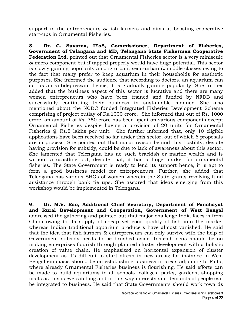support to the entrepreneurs & fish farmers and aims at boosting cooperative start-ups in Ornamental Fisheries.

**8. Dr. C. Suvarna, IFoS, Commissioner, Department of Fisheries, Government of Telangana and MD, Telangana State Fishermen Cooperative Federation Ltd.** pointed out that Ornamental Fisheries sector is a very miniscule & micro component but if tapped properly would have huge potential. This sector is slowly gaining popularity among urban, semi-urban & middle classes owing to the fact that many prefer to keep aquarium in their households for aesthetic purposes. She informed the audience that according to doctors, an aquarium can act as an antidepressant hence, it is gradually gaining popularity. She further added that the business aspect of this sector is lucrative and there are many women entrepreneurs who have been trained and funded by NFDB and successfully continuing their business in sustainable manner. She also mentioned about the NCDC funded Integrated Fisheries Development Scheme comprising of project outlay of Rs.1000 crore. She informed that out of Rs. 1000 crore, an amount of Rs. 750 crore has been spent on various components except Ornamental Fisheries despite having a provision of 20 units for Ornamental Fisheries @ Rs.5 lakhs per unit. She further informed that, only 10 eligible applications have been received so far under this sector, out of which 6 proposals are in process. She pointed out that major reason behind this hostility, despite having provision for subsidy, could be due to lack of awareness about this sector. She lamented that Telengana has no such brackish or marine wealth and is without a coastline but, despite that, it has a huge market for ornamental fisheries. The State Government is ready to lend its support hence, it is apt to form a good business model for entrepreneurs. Further, she added that Telengana has various SHGs of women wherein the State grants revolving fund assistance through bank tie ups. She assured that ideas emerging from this workshop would be implemented in Telengana.

**9. Dr. M.V. Rao, Additional Chief Secretary, Department of Panchayat and Rural Development and Cooperation, Government of West Bengal** addressed the gathering and pointed out that major challenge India faces is from China owing to its supply of cheap yet good quality of fish into the market whereas Indian traditional aquarium producers have almost vanished. He said that the idea that fish farmers & entrepreneurs can only survive with the help of Government subsidy needs to be brushed aside. Instead focus should be on making enterprises flourish through planned cluster development with a holistic creation of value chain. He emphasized on horizontal expansion of cluster development as it's difficult to start afresh in new areas; for instance in West Bengal emphasis should be on establishing business in areas adjoining to Falta, where already Ornamental Fisheries business is flourishing. He said efforts can be made to build aquariums in all schools, colleges, parks, gardens, shopping malls as this is eye catching and in this way interests and demands of people can be integrated to business. He said that State Governments should work towards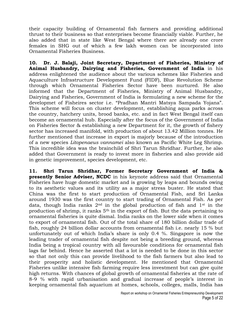their capacity building of Ornamental fish farmers and providing additional thrust to their business so that enterprises become financially viable. Further, he also added that in state like West Bengal where there are already one crore females in SHG out of which a few lakh women can be incorporated into Ornamental Fisheries Business.

**10. Dr. J. Balaji, Joint Secretary, Department of Fisheries, Ministry of Animal Husbandry, Dairying and Fisheries, Government of India** in his address enlightened the audience about the various schemes like Fisheries and Aquaculture Infrastructure Development Fund (FIDF), Blue Revolution Scheme through which Ornamental Fisheries Sector have been nurtured. He also informed that the Department of Fisheries, Ministry of Animal Husbandry, Dairying and Fisheries, Government of India is formulating a new scheme for the developmet of Fisheires sector i.e. "Pradhan Mantri Matsya Sampada Yojana". This scheme will focus on cluster development, establishing aqua parks across the country, hatchery units, brood banks, etc. and in fact West Bengal itself can become an ornamental hub. Especially after the focus of the Government of India on Fisheries Sector & establishing a new Department for it, the growth of fishery sector has increased manifold, with production of about 13.42 Million tonnes. He further mentioned that increase in export is majorly because of the introduction of a new species *Litopenaeus vannamei* also known as Pacific White Leg Shrimp. This incredible idea was the brainchild of Shri Tarun Shridhar. Further, he also added that Government is ready to invest more in fisheries and also provide aid in genetic improvement, species development, etc.

**11. Shri Tarun Shridhar, Former Secretary Government of India & presently Senior Adviser, NCDC** in his keynote address said that Ornamental Fisheries have huge domestic market and is growing by leaps and bounds owing to its aesthetic values and its utility as a major stress buster. He stated that China was the first to start production of Ornamental Fish, and Sri Lanka around 1930 was the first country to start trading of Ornamental Fish. As per data, though India ranks  $2<sup>nd</sup>$  in the global production of fish and  $1<sup>st</sup>$  in the production of shrimp, it ranks 5th in the export of fish. But the data pertaining to ornamental fisheries is quite dismal. India ranks on the lower side when it comes to export of ornamental fish. Out of the total share of 180 billion dollar trade of fish, roughly 24 billion dollar accounts from ornamental fish i.e. nearly 15 % but unfortunately out of which India's share is only 0.4 %. Singapore is now the leading trader of ornamental fish despite not being a breeding ground, whereas India being a tropical country with all favourable conditions for ornamental fish lags far behind. Hence he asserted that a lot is needed to be done in this sector so that not only this can provide livelihood to the fish farmers but also lead to their prosperity and holistic development. He mentioned that Ornamental Fisheries unlike intensive fish farming require less investment but can give quite high returns. With chances of global growth of ornamental fisheries at the rate of 8-9 % with rapid urbanisation and gradual increase of people's interest in keeping ornamental fish aquarium at homes, schools, colleges, malls, India has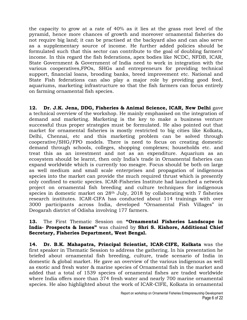the capacity to grow at a rate of 40% as it lies at the grass root level of the pyramid, hence more chances of growth and moreover ornamental fisheries do not require big land; it can be practised at the backyard also and can also serve as a supplementary source of income. He further added policies should be formulated such that this sector can contribute to the goal of doubling farmers' income. In this regard the fish federations, apex bodies like NCDC, NFDB, ICAR, State Government & Government of India need to work in integration with the various cooperatives,FPOs, SHGs and entrepreneurs for providing technical support, financial loans, brooding banks, breed improvement etc. National and State Fish federations can also play a major role by providing good feed, aquariums, marketing infrastructure so that the fish farmers can focus entirely on farming ornamental fish species.

**12. Dr. J.K. Jena, DDG, Fisheries & Animal Science, ICAR, New Delhi** gave a technical overview of the workshop. He mainly emphasised on the integration of demand and marketing. Marketing is the key to make a business venture successful thus proper strategies must be formulated. He also pointed out that market for ornamental fisheries is mostly restricted to big cities like Kolkata, Delhi, Chennai, etc and this marketing problem can be solved through cooperative/SHG/FPO models. There is need to focus on creating domestic demand through schools, colleges, shopping complexes; households etc. and treat this as an investment and not as an expenditure. Aquarium as an ecosystem should be learnt, then only India's trade in Ornamental fisheries can expand worldwide which is currently too meagre. Focus should be both on large as well medium and small scale enterprises and propagation of indigenous species into the market can provide the much required thrust which is presently only confined to exotic species. ICAR-Fisheries Institute had launched a network project on ornamental fish breeding and culture techniques for indigenous species in domestic market on 28<sup>th</sup> July, 2018 by collaborating with 7 fisheries research institutes. ICAR-CIFA has conducted about 114 trainings with over 3000 participants across India, developed "Ornamental Fish Villages" in Deogarah district of Odisha involving 177 farmers.

#### **13.** The First Thematic Session on **"Ornamental Fisheries Landscape in India- Prospects & Issues"** was chaired by **Shri S. Kishore, Additional Chief Secretary, Fisheries Department, West Bengal.**

**14. Dr. B.K. Mahapatra, Principal Scientist, ICAR-CIFE, Kolkata** was the first speaker in Thematic Session to address the gathering. In his presentation he briefed about ornamental fish breeding, culture, trade scenario of India in domestic & global market. He gave an overview of the various indigenous as well as exotic and fresh water & marine species of Ornamental fish in the market and added that a total of 1539 species of ornamental fishes are traded worldwide where India offers more than 374 fresh water and nearly 700 marine ornamental species. He also highlighted about the work of ICAR-CIFE, Kolkata in ornamental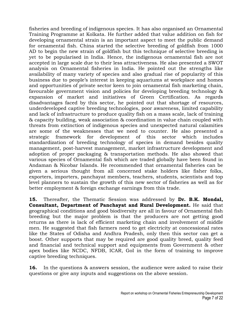fisheries and breeding of indigenous species. It has also organised an Ornamental Training Programme at Kolkata. He further added that value addition on fish for developing ornamental strain is an important aspect to meet the public demand for ornamental fish. China started the selective breeding of goldfish from 1000 AD to begin the new strain of goldfish but this technique of selective breeding is yet to be popularised in India. Hence, the indigenous ornamental fish are not accepted in large scale due to their less attractiveness. He also presented a SWOT analysis on Ornamental fisheries in India. He pointed out the strengths like availability of many variety of species and also gradual rise of popularity of this business due to people's interest in keeping aquariums at workplace and homes and opportunities of private sector keen to join ornamental fish marketing chain, favourable government vision and policies for developing breeding technology & expansion of market and initiatives of Green Certification. As regards disadvantages faced by this sector, he pointed out that shortage of resources, underdeveloped captive breeding technologies, poor awareness, limited capability and lack of infrastructure to produce quality fish on a mass scale, lack of training & capacity building, weak association & coordination in value chain coupled with threats from extinction of indigenous species and unexpected natural calamities are some of the weaknesses that we need to counter. He also presented a strategic framework for development of this sector which includes standardization of breeding technology of species in demand besides quality management, post-harvest management, market infrastructure development and adoption of proper packaging & transportation methods. He also showed that various species of Ornamental fish which are traded globally have been found in Andaman & Nicobar Islands. He recommended that ornamental fisheries can be given a serious thought from all concerned stake holders like fisher folks, exporters, importers, panchayat members, teachers, students, scientists and top level planners to sustain the growth of this new sector of fisheries as well as for better employment & foreign exchange earnings from this trade.

**15.** Thereafter, the Thematic Session was addressed by **Dr. B.K. Mondal, Consultant, Department of Panchayat and Rural Development.** He said that geographical conditions and good biodiversity are all in favour of Ornamental fish breeding but the major problem is that the producers are not getting good returns as there is lack of efficient marketing chain and involvement of middle men. He suggested that fish farmers need to get electricity at concessional rates like the States of Odisha and Andhra Pradesh, only then this sector can get a boost. Other supports that may be required are good quality breed, quality feed and financial and technical support and equipments from Government & other apex bodies like NCDC, NFDB, ICAR, GoI in the form of training to improve captive breeding techniques.

**16.** In the questions & answers session, the audience were asked to raise their questions or give any inputs and suggestions on the above session.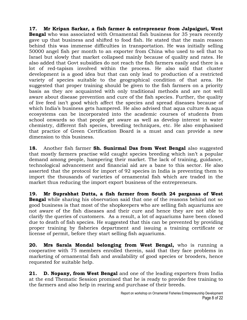**17. Mr Kripan Sarkar, a fish farmer & entrepreneur from Jalpaiguri, West Bengal** who was associated with Ornamental fish business for 35 years recently gave up that business and shifted to food fish. He stated that the main reason behind this was immense difficulties in transportation. He was initially selling 50000 angel fish per month to an exporter from China who used to sell that to Israel but slowly that market collapsed mainly because of quality and rates. He also added that Govt subsidies do not reach the fish farmers easily and there is a lot of red-tapism involved within the process. He also said that cluster development is a good idea but that can only lead to production of a restricted variety of species suitable to the geographical condition of that area. He suggested that proper training should be given to the fish farmers on a priority basis as they are acquainted with only traditional methods and are not well aware about disease prevention and cure of the fish species. Further, the quality of live feed isn't good which affect the species and spread diseases because of which India's business gets hampered. He also advised that aqua culture & aqua ecosystems can be incorporated into the academic courses of students from school onwards so that people get aware as well as develop interest in water chemistry, different fish species, breeding techniques, etc. He also emphasised that practice of Green Certification Board is a must and can provide a new dimension to this business.

**18.** Another fish farmer **Sh. Sunirmal Das from West Bengal** also suggested that mostly farmers practise wild caught species breeding which isn't a popular demand among people, hampering their market. The lack of training, guidance, technological advancement and financial aid are a bane to this sector. He also asserted that the protocol for import of 92 species in India is preventing them to import the thousands of varieties of ornamental fish which are traded in the market thus reducing the import export business of the entrepreneurs.

**19. Mr Suprabhat Dutta, a fish farmer from South 24 parganas of West Bengal** while sharing his observation said that one of the reasons behind not so good business is that most of the shopkeepers who are selling fish aquariums are not aware of the fish diseases and their cure and hence they are not able to clarify the queries of customers. As a result, a lot of aquariums have been closed due to death of fish species. He suggested that this can be prevented by providing proper training by fisheries department and issuing a training certificate or license of permit, before they start selling fish aquariums.

**20. Mrs Sarala Mondal belonging from West Bengal,** who is running a cooperative with 75 members enrolled therein, said that they face problems in marketing of ornamental fish and availability of good species or brooders, hence requested for suitable help.

**21. D. Nopany, from West Bengal** and one of the leading exporters from India at the end Thematic Session promised that he is ready to provide free training to the farmers and also help in rearing and purchase of their breeds.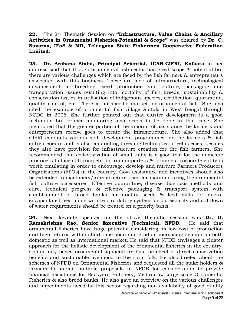**22.** The 2nd Thematic Session on **"Infrastructure, Value Chains & Ancillary Activities in Ornamental Fisheries-Potential & Scope"** was chaired by **Dr. C. Suvarna, IFoS & MD, Telengana State Fishermen Cooperative Federation Limited.**

**23. Dr. Archana Sinha, Principal Scientist, ICAR-CIFRI, Kolkata** in her address said that though ornamental fish sector has great scope & potential but there are various challenges which are faced by the fish farmers & entrepreneurs associated with this business. These are lack of infrastructure, technological advancement in breeding, seed production and culture, packaging and transportation issues resulting into mortality of fish breeds, sustainability & conservation issues in utilisation of indigenous species, certification, quarantine, quality control, etc. There is no specific market for ornamental fish. She also cited the example of ornamental fish village Amtala in West Bengal through NCDC in 2006. She further pointed out that cluster development is a good technique but proper monitoring also needs to be done in that case. She mentioned that the greater portion of the amount of assistance the farmers and entrepreneurs receive goes to create the infrastructure. She also added that CIFRI conducts various skill development programmes for the farmers & fish entrepreneurs and is also conducting breeding techniques of eel species, besides they also have provision for infrastructure creation for the fish farmers. She recommended that collectivization of small units is a good tool for the domestic producers to face stiff competition from importers & forming a corporate entity is worth emulating in order to encourage, develop and nurture Farmers Producers Organizations (FPOs) in the country. Govt assistance and incentives should also be extended to machinery/infrastructure used for manufacturing the ornamental fish culture accessories. Effective quarantine, disease diagnosis methods and cure, technical progress & effective packaging & transport system with establishment of brood banks for quality seeds & feed mills for microencapsulated feed along with re-circulatory system for bio-security and cut down of water requirements should be treated on a priority basis.

**24.** Next keynote speaker on the above thematic session was **Dr. G. Ramakrishna Rao, Senior Executive (Technical), NFDB.** He said that ornamental fisheries have huge potential considering its low cost of production and high returns within short time span and gradual increasing demand in both domestic as well as international market. He said that NFDB envisages a cluster approach for the holistic development of the ornamental fisheries in the country. Community based ornamental aquaculture has the effect of direct conservation benefits and sustainable livelihood to the rural folk. He also briefed about the schemes of NFDB on Ornamental Fisheries and requested all the stake holders & farmers to submit suitable proposals to NFDB for consideration to provide financial assistance for Backyard Hatchery, Medium & Large scale Ornamental Fisheries & also brood banks. He also gave an overview on the various challenges and impediments faced by this sector regarding non availability of good quality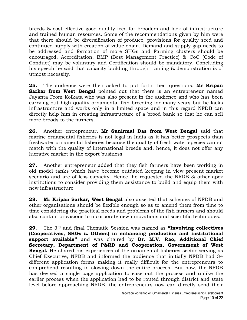breeds & cost effective good quality feed for brooders and lack of infrastructure and trained human resources. Some of the recommendations given by him were that there should be diversification of produce, provisions for quality seed and continued supply with creation of value chain. Demand and supply gap needs to be addressed and formation of more SHGs and Farming clusters should be encouraged, Accreditation, BMP (Best Management Practice) & CoC (Code of Conduct) may be voluntary and Certification should be mandatory. Concluding his speech he said that capacity building through training & demonstration is of utmost necessity.

**25.** The audience were then asked to put forth their questions. **Mr Kripan Sarkar from West Bengal** pointed out that there is an entrepreneur named Jayanta From Kolkata who was also present in the audience and who has been carrying out high quality ornamental fish breeding for many years but he lacks infrastructure and works only in a limited space and in this regard NFDB can directly help him in creating infrastructure of a brood bank so that he can sell more broods to the farmers.

**26.** Another entrepreneur, **Mr Sunirmal Das from West Bengal** said that marine ornamental fisheries is not legal in India as it has better prospects than freshwater ornamental fisheries because the quality of fresh water species cannot match with the quality of international breeds and, hence, it does not offer any lucrative market in the export business.

**27.** Another entrepreneur added that they fish farmers have been working in old model tanks which have become outdated keeping in view present market scenario and are of less capacity. Hence, he requested the NFDB & other apex institutions to consider providing them assistance to build and equip them with new infrastructure.

**28. Mr Kripan Sarkar, West Bengal** also asserted that schemes of NFDB and other organisations should be flexible enough so as to amend them from time to time considering the practical needs and problems of the fish farmers and should also contain provisions to incorporate new innovations and scientific techniques.

**29.** The 3rd and final Thematic Session was named as **"Involving collectives (Cooperatives, SHGs & Others) in enhancing production and institutional support available"** and was chaired by **Dr. M.V. Rao, Additional Chief Secretary, Department of P&RD and Cooperation, Government of West Bengal.** He shared his experiences of the ornamental fisheries sector serving as Chief Executive, NFDB and informed the audience that initially NFDB had 34 different application forms making it really difficult for the entrepreneurs to comprehend resulting in slowing down the entire process. But now, the NFDB has devised a single page application to ease out the process and unlike the earlier process when the application had to be routed through district and state level before approaching NFDB, the entrepreneurs now can directly send their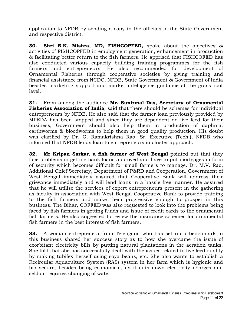application to NFDB by sending a copy to the officials of the State Government and respective district.

**30. Shri B.K. Mishra, MD, FISHCOPFED,** spoke about the objectives & activities of FISHCOPFED in employment generation, enhancement in production & facilitating better return to the fish farmers. He apprised that FISHCOFED has also conducted various capacity building training programmes for the fish farmers and entrepreneurs. He also recommended for development of Ornamental Fisheries through cooperative societies by giving training and financial assistance from NCDC, NFDB, State Government & Government of India besides marketing support and market intelligence guidance at the grass root level.

**31.** From among the audience **Mr. Sunirmal Das, Secretary of Ornamental Fisheries Association of India**, said that there should be schemes for individual entrepreneurs by NFDB. He also said that the farmer loan previously provided by MPEDA has been stopped and since they are dependent on live feed for their business, Government should also help them in production of daphnia, earthworms & bloodworms to help them in good quality production. His doubt was clarified by Dr. G. Ramakrishna Rao, Sr. Executive (Tech.), NFDB who informed that NFDB lends loan to entrepreneurs in cluster approach.

**32. Mr Kripan Sarkar, a fish farmer of West Bengal** pointed out that they face problems in getting bank loans approved and have to put mortgages in form of security which becomes difficult for small farmers to manage. Dr. M.V. Rao, Additional Chief Secretary, Department of P&RD and Cooperation, Government of West Bengal immediately assured that Cooperative Bank will address their grievance immediately and will lend loans in a hassle free manner. He assured that he will utilise the services of expert entrepreneurs present in the gathering as faculty in association with West Bengal Cooperative Bank to provide training to the fish farmers and make them progressive enough to prosper in this business. The Bihar, COFFED was also requested to look into the problems being faced by fish farmers in getting funds and issue of credit cards to the ornamental fish farmers. He also suggested to review the insurance schemes for ornamental fish farmers in the best interest of fish farmers.

**33.** A woman entrepreneur from Telengana who has set up a benchmark in this business shared her success story as to how she overcame the issue of exorbitant electricity bills by putting natural plantations in the aeration tanks. She told that she has successfully dealt with the issues related to live feed quality by making tubifex herself using soya beans, etc. She also wants to establish a Recircular Aquaculture System (RAS) system in her farm which is hygienic and bio secure, besides being economical, as it cuts down electricity charges and seldom requires changing of water.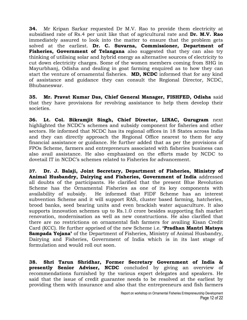**34.** Mr Kripan Sarkar requested Dr M.V. Rao to provide them electricity at subsidised rate of Rs.4 per unit like that of agricultural rate and **Dr. M.V. Rao** immediately assured to look into the matter to ensure that the problem gets solved at the earliest. **Dr. C. Suvarna, Commissioner, Department of Fisheries, Government of Telangana** also suggested that they can also try thinking of utilising solar and hybrid energy as alternative sources of electricity to cut down electricity charges. Some of the women members coming from SHG in Mayurbhanj, Odisha and dealing in goat farming enquired as to how they can start the venture of ornamental fisheries. **MD, NCDC** informed that for any kind of assistance and guidance they can consult the Regional Director, NCDC, Bhubaneswar.

**35. Mr. Pravat Kumar Das, Chief General Manager, FISHFED, Odisha** said that they have provisions for revolving assistance to help them develop their societies.

**36. Lt. Col. Bikramjit Singh, Chief Director, LINAC, Gurugram** next highlighted the NCDC's schemes and subsidy component for fisheries and other sectors. He informed that NCDC has its regional offices in 18 States across India and they can directly approach the Regional Office nearest to them for any financial assistance or guidance. He further added that as per the provisions of FPOs Scheme, farmers and entrepreneurs associated with fisheries business can also avail assistance. He also emphasized on the efforts made by NCDC to dovetail IT in NCDC's schemes related to Fisheries for advancement.

**37. Dr. J. Balaji, Joint Secretary, Department of Fisheries, Ministry of Animal Husbandry, Dairying and Fisheries, Government of India** addressed all doubts of the participants. He clarified that the present Blue Revolution Scheme has the Ornamental Fisheries as one of its key components with availability of subsidy. He informed that FIDF Scheme has an interest subvention Scheme and it will support RAS, cluster based farming, hatcheries, brood banks, seed bearing units and even brackish water aquaculture. It also supports innovation schemes up to Rs.1.0 crore besides supporting fish market renovation, modernisation as well as new constructions. He also clarified that there are no restrictions on ornamental fish farmers for availing Kisan Credit Card (KCC). He further apprised of the new Scheme i.e. **"Pradhan Mantri Matsya Sampada Yojana"** of the Department of Fisheries, Ministry of Animal Husbandry, Dairying and Fisheries, Government of India which is in its last stage of formulation and would roll out soon.

**38. Shri Tarun Shridhar, Former Secretary Government of India & presently Senior Adviser, NCDC** concluded by giving an overview of recommendations furnished by the various expert delegates and speakers. He said that the issue of credit guarantee needs to be resolved at the earliest by providing them with insurance and also that the entrepreneurs and fish farmers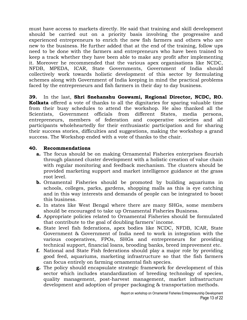must have access to markets directly. He said that training and skill development should be carried out on a priority basis involving the progressive and experienced entrepreneurs to enrich the new fish farmers and others who are new to the business. He further added that at the end of the training, follow ups need to be done with the farmers and entrepreneurs who have been trained to keep a track whether they have been able to make any profit after implementing it. Moreover he recommended that the various apex organisations like NCDC, NFDB, MPEDA, ICAR, State Governments, Government of India should collectively work towards holistic development of this sector by formulating schemes along with Government of India keeping in mind the practical problems faced by the entrepreneurs and fish farmers in their day to day business.

**39.** In the last, **Shri Snehanshu Goswami, Regional Director, NCDC, RO. Kolkata** offered a vote of thanks to all the dignitaries for sparing valuable time from their busy schedules to attend the workshop. He also thanked all the Scientists, Government officials from different States, media persons, entrepreneurs, members of federation and cooperative societies and all participants wholeheartedly for their enthusiastic participation and for sharing their success stories, difficulties and suggestions, making the workshop a grand success. The Workshop ended with a vote of thanks to the chair.

#### **40. Recommendations**

- **a.** The focus should be on making Ornamental Fisheries enterprises flourish through planned cluster development with a holistic creation of value chain with regular monitoring and feedback mechanism. The clusters should be provided marketing support and market intelligence guidance at the grass root level.
- **b.** Ornamental Fisheries should be promoted by building aquariums in schools, colleges, parks, gardens, shopping malls as this is eye catching and in this way interests and demands of people can be integrated to boost this business.
- **c.** In states like West Bengal where there are many SHGs, some members should be encouraged to take up Ornamental Fisheries Business.
- **d.** Appropriate policies related to Ornamental Fisheries should be formulated that contribute to the goal of doubling farmers' income.
- **e.** State level fish federations, apex bodies like NCDC, NFDB, ICAR, State Government & Government of India need to work in integration with the various cooperatives, FPOs, SHGs and entrepreneurs for providing technical support, financial loans, brooding banks, breed improvement etc.
- **f.** National and State Fish federations should play a major role by providing good feed, aquariums, marketing infrastructure so that the fish farmers can focus entirely on farming ornamental fish species.
- **g.** The policy should encapsulate strategic framework for development of this sector which includes standardization of breeding technology of species, quality management, post-harvest management, market infrastructure development and adoption of proper packaging & transportation methods.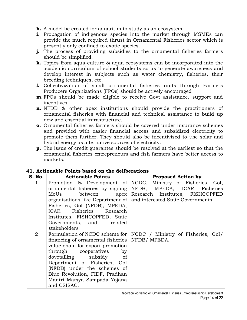**h.** A model be created for aquarium to study as an ecosystem.

- **i.** Propagation of indigenous species into the market through MSMEs can provide the much required thrust in Ornamental Fisheries sector which is presently only confined to exotic species.
- **j.** The process of providing subsidies to the ornamental fisheries farmers should be simplified.
- **k.** Topics from aqua-culture & aqua ecosystems can be incorporated into the academic curriculum of school students so as to generate awareness and develop interest in subjects such as water chemistry, fisheries, their breeding techniques, etc.
- **l.** Collectivization of small ornamental fisheries units through Farmers Producers Organizations (FPOs) should be actively encouraged
- **m.** FPOs should be made eligible to receive Govt assistance, support and incentives.
- **n.** NFDB & other apex institutions should provide the practitioners of ornamental fisheries with financial and technical assistance to build up new and essential infrastructure.
- **o.** Ornamental fisheries farmers should be covered under insurance schemes and provided with easier financial access and subsidized electricity to promote them further. They should also be incentivised to use solar and hybrid energy as alternative sources of electricity.
- **p.** The issue of credit guarantee should be resolved at the earliest so that the ornamental fisheries entrepreneurs and fish farmers have better access to markets.

| S. No.       | <b>Actionable Points</b>                                                                                                                                                                                                                                                                                  | <b>Proposed Action by</b>                                                                                                                                                                                    |
|--------------|-----------------------------------------------------------------------------------------------------------------------------------------------------------------------------------------------------------------------------------------------------------------------------------------------------------|--------------------------------------------------------------------------------------------------------------------------------------------------------------------------------------------------------------|
| $\mathbf{1}$ | ornamental fisheries by signing<br>MoUs<br>between<br>Fisheries, GoI (NFDB), MPEDA,<br>ICAR Fisheries Research<br>Institutes, FISHCOPFED, State<br>Governments, and related                                                                                                                               | Promotion & Development of NCDC, Ministry of Fisheries, GoI,<br>NFDB, MPEDA, ICAR Fisheries<br>apex   Research Institutes, FISHCOPFED<br>organisations like Department of   and interested State Governments |
| 2            | stakeholders<br>financing of ornamental fisheries   NFDB/ MPEDA,<br>value chain for export promotion<br>through cooperatives by<br>dovetailing subsidy of<br>Department of Fisheries, GoI<br>(NFDB) under the schemes of<br>Blue Revolution, FIDF, Pradhan<br>Mantri Matsya Sampada Yojana<br>and CSISAC. | Formulation of NCDC scheme for   NCDC / Ministry of Fisheries, GoI/                                                                                                                                          |

#### **41. Actionable Points based on the deliberations**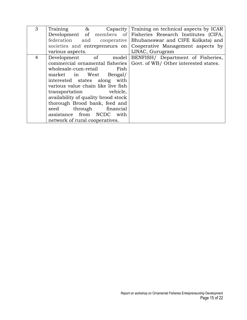| 3 | Training &                          | Capacity Training on technical aspects by ICAR                        |
|---|-------------------------------------|-----------------------------------------------------------------------|
|   |                                     | Development of members of Fisheries Research Institutes (CIFA,        |
|   |                                     | federation and cooperative Bhubaneswar and CIFE Kolkata) and          |
|   |                                     | societies and entrepreneurs on Cooperative Management aspects by      |
|   | various aspects.                    | LINAC, Gurugram                                                       |
| 4 |                                     | Development of model BENFISH/ Department of Fisheries,                |
|   |                                     | commercial ornamental fisheries Govt. of WB/ Other interested states. |
|   | wholesale-cum-retail Fish           |                                                                       |
|   | market in West Bengal/              |                                                                       |
|   | interested states along with        |                                                                       |
|   | various value chain like live fish  |                                                                       |
|   | transportation vehicle,             |                                                                       |
|   | availability of quality brood stock |                                                                       |
|   | thorough Brood bank, feed and       |                                                                       |
|   | seed through financial              |                                                                       |
|   | assistance from NCDC with           |                                                                       |
|   | network of rural cooperatives.      |                                                                       |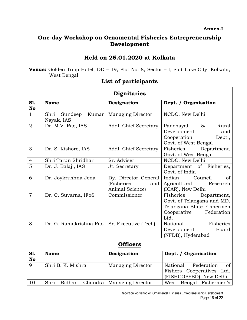**Annex-I**

# **One-day Workshop on Ornamental Fisheries Entrepreneurship Development**

# **Held on 25.01.2020 at Kolkata**

**Venue:** Golden Tulip Hotel, DD – 19, Plot No. 8, Sector – I, Salt Lake City, Kolkata, West Bengal

|                  | <b>Dignitaries</b>                     |                                                              |                                                                                                                          |  |
|------------------|----------------------------------------|--------------------------------------------------------------|--------------------------------------------------------------------------------------------------------------------------|--|
| S1.<br>No        | <b>Name</b>                            | Designation                                                  | Dept. / Organisation                                                                                                     |  |
| $\mathbf{1}$     | Kumar<br>Shri<br>Sundeep<br>Nayak, IAS | <b>Managing Director</b>                                     | NCDC, New Delhi                                                                                                          |  |
| $\overline{2}$   | Dr. M.V. Rao, IAS                      | Addl. Chief Secretary                                        | Panchayat<br>$\&$<br>Rural<br>Development<br>and<br>Cooperation<br>Dept.,<br>Govt. of West Bengal                        |  |
| 3                | Dr. S. Kishore, IAS                    | Addl. Chief Secretary                                        | Fisheries<br>Department,<br>Govt. of West Bengal                                                                         |  |
| $\overline{4}$   | Shri Tarun Shridhar                    | Sr. Adviser                                                  | NCDC, New Delhi                                                                                                          |  |
| 5                | Dr. J. Balaji, IAS                     | Jt. Secretary                                                | Department<br>$\circ$ f<br>Fisheries,<br>Govt. of India                                                                  |  |
| 6                | Dr. Joykrushna Jena                    | Dy. Director General<br>(Fisheries<br>and<br>Animal Science) | Council<br>Indian<br>of<br>Agricultural<br>Research<br>(ICAR), New Delhi                                                 |  |
| $\overline{7}$   | Dr. C. Suvarna, IFoS                   | Commissioner                                                 | Department,<br>Fisheries<br>Govt. of Telangana and MD,<br>Telangana State Fishermen<br>Cooperative<br>Federation<br>Ltd. |  |
| 8                | Dr. G. Ramakrishna Rao                 | Sr. Executive (Tech)                                         | Fisheries<br>National<br>Development<br><b>Board</b><br>(NFDB), Hyderabad                                                |  |
|                  | <b>Officers</b>                        |                                                              |                                                                                                                          |  |
| S1.<br><b>No</b> | <b>Name</b>                            | Designation                                                  | Dept. / Organisation                                                                                                     |  |
| 9                | Shri B. K. Mishra                      | <b>Managing Director</b>                                     | Federation<br>National<br>$\sigma$<br>Fishers Cooperatives Ltd.<br>(FISHCOPFED), New Delhi                               |  |
| 10               | Shri<br>Bidhan<br>Chandra              | <b>Managing Director</b>                                     | West Bengal Fishermen's                                                                                                  |  |

### **List of participants**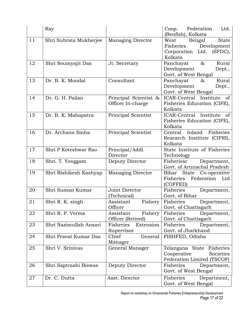|    | Ray                    |                                            | Coop.<br>Federation<br>Ltd.<br>(Benfish), Kolkata                                                 |
|----|------------------------|--------------------------------------------|---------------------------------------------------------------------------------------------------|
| 11 | Shri Subrata Mukherjee | <b>Managing Director</b>                   | West<br>Bengal<br><b>State</b><br>Fisheries<br>Development<br>Corporation Ltd. (SFDC),<br>Kolkata |
| 12 | Shri Soumyajit Das     | Jt. Secretary                              | Rural<br>Panchayat<br>$\&$<br>Development<br>Dept.,<br>Govt. of West Bengal                       |
| 13 | Dr. B. K. Mondal       | Consultant                                 | Rural<br>Panchayat<br>&<br>Development<br>Dept.,<br>Govt. of West Bengal                          |
| 14 | Dr. G. H. Pailan       | Principal Scientist &<br>Officer In-charge | ICAR-Central Institute of<br>Fisheries Education (CIFE),<br>Kolkata                               |
| 15 | Dr. B. K. Mahapatra    | Principal Scientist                        | ICAR-Central Institute<br><sub>of</sub><br>Fisheries Education (CIFE),<br>Kolkata                 |
| 16 | Dr. Archana Sinha      | Principal Scientist                        | Fisheries<br>Inland<br>Central<br>Research Institute (CIFRI),<br>Kolkata                          |
| 17 | Shri P Koteshwar Rao   | Principal/Addl.<br>Director                | State Institute of Fisheries<br>Technology                                                        |
| 18 | Shri. T. Yonggam       | Deputy Director                            | Department,<br>Fisheriesr<br>Govt. of Arunachal Pradesh                                           |
| 19 | Shri Rishikesh Kashyap | <b>Managing Director</b>                   | Bihar State Co-operative<br>Federation Ltd<br>Fisheries<br>(COFFED)                               |
| 20 | Shri Suman Kumar       | Joint Director<br>(Technical)              | Fisheries<br>Department,<br>Govt. of Bihar                                                        |
| 21 | Shri R. K. singh       | Fishery<br>Assistant<br>Officer            | Fisheries<br>Department,<br>Govt. of Chattisgarh                                                  |
| 22 | Shri R. P. Verma       | Fishery<br>Assistant<br>Officer (Retired)  | Fisheries<br>Department,<br>Govt. of Chattisgarh                                                  |
| 23 | Shri Nazimullah Ansari | Extension<br>Fisheries<br>Supervisor       | Fisheries<br>Department,<br>Govt. of Jharkhand                                                    |
| 24 | Shri Pravat Kumar Das  | Chief<br>General<br>Manager                | FISHFED, Odisha                                                                                   |
| 25 | Shri V. Srinivas       | General Manager                            | Telangana State Fisheries<br>Cooperative<br>Societies<br>Federation Limited (TSCOF)               |
| 26 | Shri Saptrashi Biswas  | Deputy Director                            | Fisheries<br>Department,<br>Govt. of West Bengal                                                  |
| 27 | Dr. C. Dutta           | Asst. Director                             | Fisheries<br>Department,<br>Govt. of West Bengal                                                  |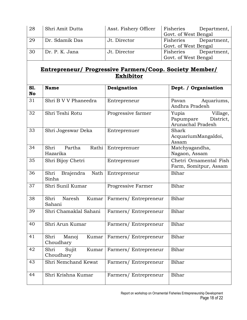| 28 | Shri Amit Dutta | Asst. Fishery Officer | Fisheries            | Department, |
|----|-----------------|-----------------------|----------------------|-------------|
|    |                 |                       | Govt. of West Bengal |             |
| 29 | Dr. Sdamik Das  | Jt. Director          | Fisheries            | Department, |
|    |                 |                       | Govt. of West Bengal |             |
| 30 | Dr. P. K. Jana  | Jt. Director          | Fisheries            | Department, |
|    |                 |                       | Govt. of West Bengal |             |

# **Entrepreneur/ Progressive Farmers/Coop. Society Member/ Exhibitor**

| S1.<br><b>No</b> | <b>Name</b>                         | Designation          | Dept. / Organisation                                             |
|------------------|-------------------------------------|----------------------|------------------------------------------------------------------|
| 31               | Shri B V V Phaneedra                | Entrepreneur         | Aquariums,<br>Pavan<br>Andhra Pradesh                            |
| 32               | Shri Teshi Rotu                     | Progressive farmer   | Yupia<br>Village,<br>Papumpare<br>District,<br>Arunachal Pradesh |
| 33               | Shri Jogeswar Deka                  | Entreprenuer         | Shark<br>AcquariumMangaldoi,<br>Assam                            |
| 34               | Shri<br>Partha<br>Rathi<br>Hazarika | Entreprenuer         | Matchyagandha,<br>Nagaon, Assam                                  |
| 35               | Shri Bijoy Chetri                   | Entreprenuer         | Chetri Ornamental Fish<br>Farm, Somitpur, Assam                  |
| 36               | Shri<br>Brajendra<br>Nath<br>Sinha  | Entrepreneur         | Bihar                                                            |
| 37               | Shri Sunil Kumar                    | Progressive Farmer   | Bihar                                                            |
| 38               | Shri<br>Naresh<br>Kumar<br>Sahani   | Farmers/Entrepreneur | Bihar                                                            |
| 39               | Shri Chamaklal Sahani               | Farmers/Entrepreneur | Bihar                                                            |
| 40               | Shri Arun Kumar                     | Farmers/Entrepreneur | Bihar                                                            |
| 41               | Shri<br>Manoj<br>Kumar<br>Choudhary | Farmers/Entrepreneur | Bihar                                                            |
| 42               | Shri<br>Sujit<br>Kumar<br>Choudhary | Farmers/Entrepreneur | Bihar                                                            |
| 43               | Shri Nemchand Kewat                 | Farmers/Entrepreneur | Bihar                                                            |
| 44               | Shri Krishna Kumar                  | Farmers/Entrepreneur | Bihar                                                            |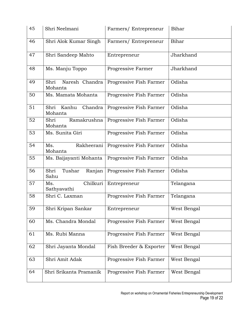| 45 | Shri Neelmani                       | Farmers/ Entrepreneur   | Bihar       |
|----|-------------------------------------|-------------------------|-------------|
| 46 | Shri Alok Kumar Singh               | Farmers/Entrepreneur    | Bihar       |
| 47 | Shri Sandeep Mahto                  | Entrepreneur            | Jharkhand   |
| 48 | Ms. Manju Toppo                     | Progressive Farmer      | Jharkhand   |
| 49 | Naresh Chandra<br>Shri<br>Mohanta   | Progressive Fish Farmer | Odisha      |
| 50 | Ms. Mamata Mohanta                  | Progressive Fish Farmer | Odisha      |
| 51 | Kanhu<br>Chandra<br>Shri<br>Mohanta | Progressive Fish Farmer | Odisha      |
| 52 | Ramakrushna<br>Shri<br>Mohanta      | Progressive Fish Farmer | Odisha      |
| 53 | Ms. Sunita Giri                     | Progressive Fish Farmer | Odisha      |
| 54 | Rakheerani<br>Ms.<br>Mohanta        | Progressive Fish Farmer | Odisha      |
| 55 | Ms. Baijayanti Mohanta              | Progressive Fish Farmer | Odisha      |
| 56 | Shri<br>Tushar<br>Ranjan<br>Sahu    | Progressive Fish Farmer | Odisha      |
| 57 | Chilkuri<br>Ms.<br>Sathyavathi      | Entrepreneur            | Telangana   |
| 58 | Shri C. Laxman                      | Progressive Fish Farmer | Telangana   |
| 59 | Shri Kripan Sankar                  | Entrepreneur            | West Bengal |
| 60 | Ms. Chandra Mondal                  | Progressive Fish Farmer | West Bengal |
| 61 | Ms. Rubi Manna                      | Progressive Fish Farmer | West Bengal |
| 62 | Shri Jayanta Mondal                 | Fish Breeder & Exporter | West Bengal |
| 63 | Shri Amit Adak                      | Progressive Fish Farmer | West Bengal |
| 64 | Shri Srikanta Pramanik              | Progressive Fish Farmer | West Bengal |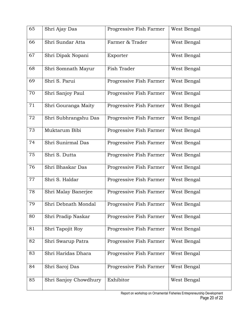| 65 | Shri Ajay Das         | Progressive Fish Farmer | West Bengal |
|----|-----------------------|-------------------------|-------------|
| 66 | Shri Sundar Atta      | Farmer & Trader         | West Bengal |
| 67 | Shri Dipak Nopani     | Exporter                | West Bengal |
| 68 | Shri Somnath Mayur    | Fish Trader             | West Bengal |
| 69 | Shri S. Parui         | Progressive Fish Farmer | West Bengal |
| 70 | Shri Sanjoy Paul      | Progressive Fish Farmer | West Bengal |
| 71 | Shri Gouranga Maity   | Progressive Fish Farmer | West Bengal |
| 72 | Shri Subhrangshu Das  | Progressive Fish Farmer | West Bengal |
| 73 | Muktarum Bibi         | Progressive Fish Farmer | West Bengal |
| 74 | Shri Sunirmal Das     | Progressive Fish Farmer | West Bengal |
| 75 | Shri S. Dutta         | Progressive Fish Farmer | West Bengal |
| 76 | Shri Bhaskar Das      | Progressive Fish Farmer | West Bengal |
| 77 | Shri S. Haldar        | Progressive Fish Farmer | West Bengal |
| 78 | Shri Malay Banerjee   | Progressive Fish Farmer | West Bengal |
| 79 | Shri Debnath Mondal   | Progressive Fish Farmer | West Bengal |
| 80 | Shri Pradip Naskar    | Progressive Fish Farmer | West Bengal |
| 81 | Shri Tapojit Roy      | Progressive Fish Farmer | West Bengal |
| 82 | Shri Swarup Patra     | Progressive Fish Farmer | West Bengal |
| 83 | Shri Haridas Dhara    | Progressive Fish Farmer | West Bengal |
| 84 | Shri Saroj Das        | Progressive Fish Farmer | West Bengal |
| 85 | Shri Sanjoy Chowdhury | Exhibitor               | West Bengal |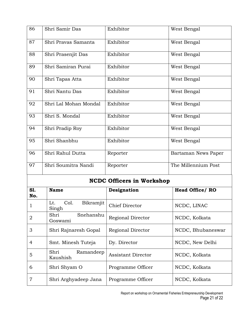| 86 | Shri Samir Das        | Exhibitor | West Bengal         |
|----|-----------------------|-----------|---------------------|
| 87 | Shri Pravas Samanta   | Exhibitor | West Bengal         |
| 88 | Shri Prasenjit Das    | Exhibitor | West Bengal         |
| 89 | Shri Samiran Purai    | Exhibitor | West Bengal         |
| 90 | Shri Tapas Atta       | Exhibitor | West Bengal         |
| 91 | Shri Nantu Das        | Exhibitor | West Bengal         |
| 92 | Shri Lal Mohan Mondal | Exhibitor | West Bengal         |
| 93 | Shri S. Mondal        | Exhibitor | West Bengal         |
| 94 | Shri Pradip Roy       | Exhibitor | West Bengal         |
| 95 | Shri Shanbhu          | Exhibitor | West Bengal         |
| 96 | Shri Rahul Dutta      | Reporter  | Bartaman News Paper |
| 97 | Shri Soumitra Nandi   | Reporter  | The Millennium Post |

# **NCDC Officers in Workshop**

| <b>S1.</b> | <b>Name</b>                       | Designation               | <b>Head Office/RO</b> |
|------------|-----------------------------------|---------------------------|-----------------------|
| No.        |                                   |                           |                       |
| 1          | Bikramjit<br>Col.<br>Lt.<br>Singh | <b>Chief Director</b>     | NCDC, LINAC           |
| 2          | Shri<br>Snehanshu<br>Goswami      | Regional Director         | NCDC, Kolkata         |
| 3          | Shri Rajnaresh Gopal              | Regional Director         | NCDC, Bhubaneswar     |
| 4          | Smt. Minesh Tuteja                | Dy. Director              | NCDC, New Delhi       |
| 5          | Shri<br>Ramandeep<br>Kaushish     | <b>Assistant Director</b> | NCDC, Kolkata         |
| 6          | Shri Shyam O                      | Programme Officer         | NCDC, Kolkata         |
| 7          | Shri Arghyadeep Jana              | Programme Officer         | NCDC, Kolkata         |